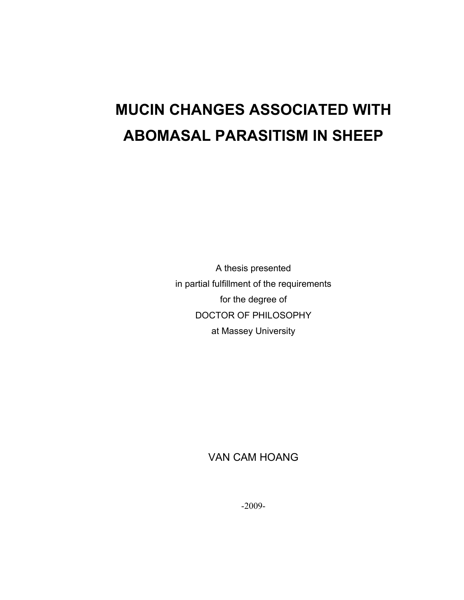# **MUCIN CHANGES ASSOCIATED WITH ABOMASAL PARASITISM IN SHEEP**

A thesis presented in partial fulfillment of the requirements for the degree of DOCTOR OF PHILOSOPHY at Massey University

### VAN CAM HOANG

-2009-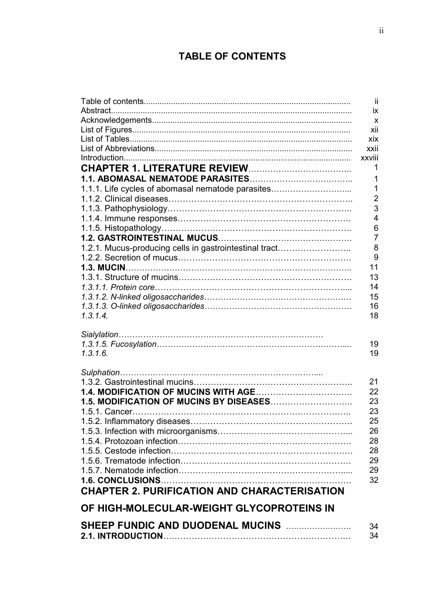# **TABLE OF CONTENTS**

|                                                        | ii.            |
|--------------------------------------------------------|----------------|
|                                                        | ix             |
|                                                        | $\mathbf{x}$   |
|                                                        | xii            |
|                                                        | xix            |
|                                                        | xxii           |
|                                                        | xxviii         |
|                                                        | 1              |
|                                                        | 1              |
| 1.1.1. Life cycles of abomasal nematode parasites      | 1              |
|                                                        | $\overline{2}$ |
|                                                        | 3              |
|                                                        | $\overline{4}$ |
|                                                        | 6              |
|                                                        | $\overline{7}$ |
| 1.2.1. Mucus-producing cells in gastrointestinal tract | 8              |
|                                                        | 9              |
|                                                        | 11             |
|                                                        | 13             |
|                                                        | 14             |
|                                                        | 15             |
|                                                        | 16             |
| 1.3.1.4.                                               | 18             |
|                                                        |                |
|                                                        |                |
|                                                        | 19             |
| 1.3.1.6.                                               | 19             |
|                                                        |                |
|                                                        | 21             |
|                                                        | 22             |
|                                                        | 23             |
|                                                        | 23             |
|                                                        | 25             |
|                                                        | 26             |
|                                                        | 28             |
|                                                        | 28             |
|                                                        | 29             |
|                                                        | 29             |
|                                                        | 32             |
| <b>CHAPTER 2. PURIFICATION AND CHARACTERISATION</b>    |                |
|                                                        |                |
| OF HIGH-MOLECULAR-WEIGHT GLYCOPROTEINS IN              |                |
| SHEEP FUNDIC AND DUODENAL MUCINS                       | 34             |
|                                                        | 34             |
|                                                        |                |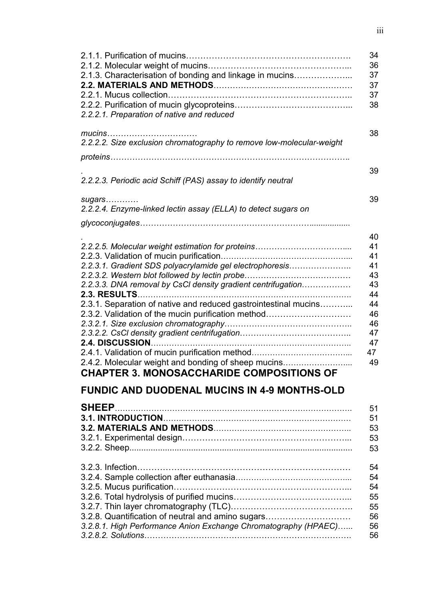| 34<br>36<br>2.1.3. Characterisation of bonding and linkage in mucins<br>37<br>37<br>37<br>38<br>2.2.2.1. Preparation of native and reduced |  |
|--------------------------------------------------------------------------------------------------------------------------------------------|--|
| mucins<br>38<br>2.2.2.2. Size exclusion chromatography to remove low-molecular-weight                                                      |  |
| 39<br>2.2.2.3. Periodic acid Schiff (PAS) assay to identify neutral                                                                        |  |
| 39<br>sugars<br>2.2.2.4. Enzyme-linked lectin assay (ELLA) to detect sugars on                                                             |  |
|                                                                                                                                            |  |
| 40<br>41<br>41                                                                                                                             |  |
| 2.2.3.1. Gradient SDS polyacrylamide gel electrophoresis<br>41                                                                             |  |
| 43                                                                                                                                         |  |
| 2.2.3.3. DNA removal by CsCI density gradient centrifugation<br>43<br>44                                                                   |  |
| 2.3.1. Separation of native and reduced gastrointestinal mucins<br>44                                                                      |  |
| 2.3.2. Validation of the mucin purification method<br>46<br>46                                                                             |  |
| 47                                                                                                                                         |  |
| 2.4. DISCUSSION<br>47                                                                                                                      |  |
| 2.4.1. Validation of mucin purification method<br>47                                                                                       |  |
| 2.4.2. Molecular weight and bonding of sheep mucins<br>49<br><b>CHAPTER 3. MONOSACCHARIDE COMPOSITIONS OF</b>                              |  |
| <b>FUNDIC AND DUODENAL MUCINS IN 4-9 MONTHS-OLD</b>                                                                                        |  |
|                                                                                                                                            |  |
| <b>SHEEP</b><br>51                                                                                                                         |  |
| 51                                                                                                                                         |  |
| 53<br>53                                                                                                                                   |  |
| 53                                                                                                                                         |  |
| 54                                                                                                                                         |  |
| 54                                                                                                                                         |  |
| 54                                                                                                                                         |  |
| 55                                                                                                                                         |  |
| 55                                                                                                                                         |  |
| 3.2.8. Quantification of neutral and amino sugars<br>56<br>3.2.8.1. High Performance Anion Exchange Chromatography (HPAEC)<br>56           |  |
| 56                                                                                                                                         |  |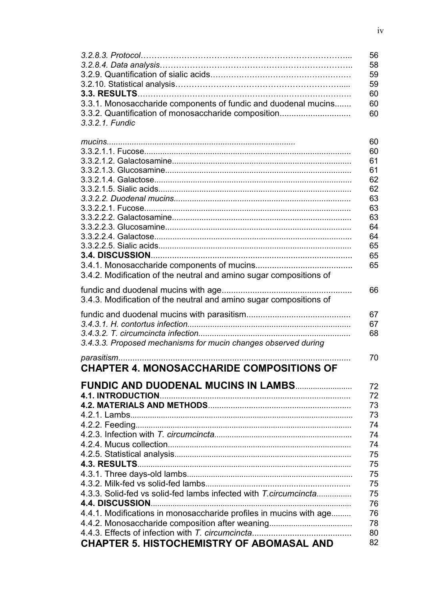| 3.3.1. Monosaccharide components of fundic and duodenal mucins<br>3.3.2. Quantification of monosaccharide composition<br>3.3.2.1. Fundic                                             | 56<br>58<br>59<br>59<br>60<br>60<br>60                                                       |
|--------------------------------------------------------------------------------------------------------------------------------------------------------------------------------------|----------------------------------------------------------------------------------------------|
| 3.4.2. Modification of the neutral and amino sugar compositions of                                                                                                                   | 60<br>60<br>61<br>61<br>62<br>62<br>63<br>63<br>63<br>64<br>64<br>65<br>65<br>65             |
| 3.4.3. Modification of the neutral and amino sugar compositions of                                                                                                                   | 66                                                                                           |
| 3.4.3.3. Proposed mechanisms for mucin changes observed during                                                                                                                       | 67<br>67<br>68                                                                               |
| <b>CHAPTER 4. MONOSACCHARIDE COMPOSITIONS OF</b>                                                                                                                                     | 70                                                                                           |
| <b>FUNDIC AND DUODENAL MUCINS IN LAMBS</b><br>4.3.3. Solid-fed vs solid-fed lambs infected with T.circumcincta<br>4.4.1. Modifications in monosaccharide profiles in mucins with age | 72<br>72<br>73<br>73<br>74<br>74<br>74<br>75<br>75<br>75<br>75<br>75<br>76<br>76<br>78<br>80 |
| <b>CHAPTER 5. HISTOCHEMISTRY OF ABOMASAL AND</b>                                                                                                                                     | 82                                                                                           |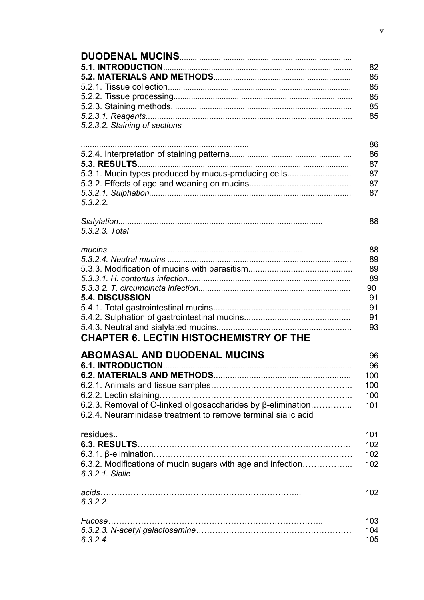| 5.2.3.2. Staining of sections                                                                                                                             | 82<br>85<br>85<br>85<br>85<br>85                   |
|-----------------------------------------------------------------------------------------------------------------------------------------------------------|----------------------------------------------------|
| 5.3.1. Mucin types produced by mucus-producing cells<br>5.3.2.2.                                                                                          | 86<br>86<br>87<br>87<br>87<br>87                   |
| 5.3.2.3. Total                                                                                                                                            | 88                                                 |
| <b>CHAPTER 6. LECTIN HISTOCHEMISTRY OF THE</b>                                                                                                            | 88<br>89<br>89<br>89<br>90<br>91<br>91<br>91<br>93 |
| <b>6.1. INTRODUCTION</b><br>6.2.3. Removal of O-linked oligosaccharides by β-elimination<br>6.2.4. Neuraminidase treatment to remove terminal sialic acid | 96<br>96<br>100<br>100<br>100<br>101               |
| residues<br>6.3.2. Modifications of mucin sugars with age and infection<br>6.3.2.1. Sialic                                                                | 101<br>102<br>102<br>102                           |
| 6.3.2.2.                                                                                                                                                  | 102                                                |
| 6.3.2.4.                                                                                                                                                  | 103<br>104<br>105                                  |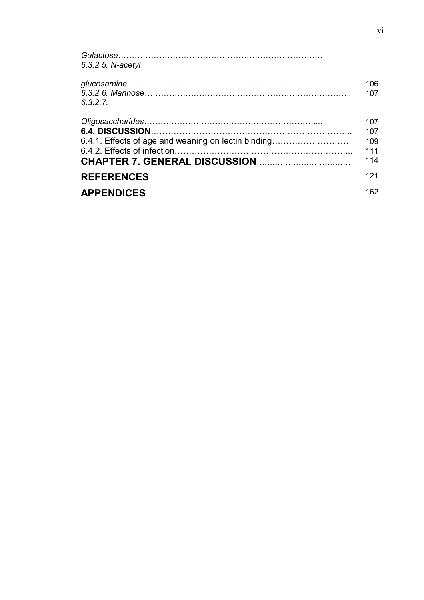| 6.3.2.5. N-acetyl                                   |     |
|-----------------------------------------------------|-----|
|                                                     | 106 |
|                                                     |     |
|                                                     | 107 |
| 6.3.2.7.                                            |     |
|                                                     | 107 |
|                                                     | 107 |
| 6.4.1. Effects of age and weaning on lectin binding | 109 |
|                                                     |     |
|                                                     | 111 |
|                                                     | 114 |
|                                                     | 121 |
|                                                     |     |
|                                                     | 162 |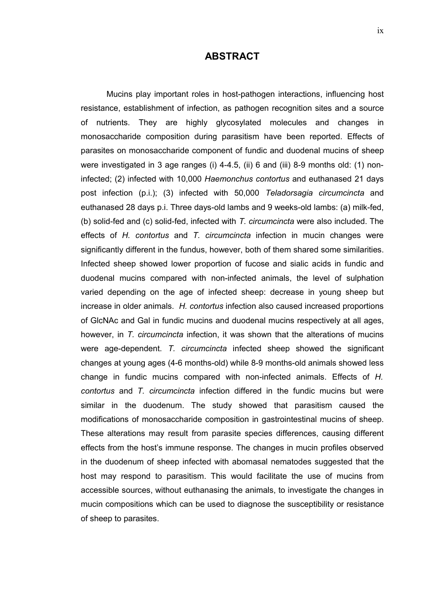#### **ABSTRACT**

Mucins play important roles in host-pathogen interactions, influencing host resistance, establishment of infection, as pathogen recognition sites and a source of nutrients. They are highly glycosylated molecules and changes in monosaccharide composition during parasitism have been reported. Effects of parasites on monosaccharide component of fundic and duodenal mucins of sheep were investigated in 3 age ranges (i) 4-4.5, (ii) 6 and (iii) 8-9 months old: (1) noninfected; (2) infected with 10,000 *Haemonchus contortus* and euthanased 21 days post infection (p.i.); (3) infected with 50,000 *Teladorsagia circumcincta* and euthanased 28 days p.i. Three days-old lambs and 9 weeks-old lambs: (a) milk-fed, (b) solid-fed and (c) solid-fed, infected with *T. circumcincta* were also included. The effects of *H. contortus* and *T. circumcincta* infection in mucin changes were significantly different in the fundus, however, both of them shared some similarities. Infected sheep showed lower proportion of fucose and sialic acids in fundic and duodenal mucins compared with non-infected animals, the level of sulphation varied depending on the age of infected sheep: decrease in young sheep but increase in older animals. *H. contortus* infection also caused increased proportions of GlcNAc and Gal in fundic mucins and duodenal mucins respectively at all ages, however, in *T. circumcincta* infection, it was shown that the alterations of mucins were age-dependent. *T. circumcincta* infected sheep showed the significant changes at young ages (4-6 months-old) while 8-9 months-old animals showed less change in fundic mucins compared with non-infected animals. Effects of *H. contortus* and *T. circumcincta* infection differed in the fundic mucins but were similar in the duodenum. The study showed that parasitism caused the modifications of monosaccharide composition in gastrointestinal mucins of sheep. These alterations may result from parasite species differences, causing different effects from the host's immune response. The changes in mucin profiles observed in the duodenum of sheep infected with abomasal nematodes suggested that the host may respond to parasitism. This would facilitate the use of mucins from accessible sources, without euthanasing the animals, to investigate the changes in mucin compositions which can be used to diagnose the susceptibility or resistance of sheep to parasites.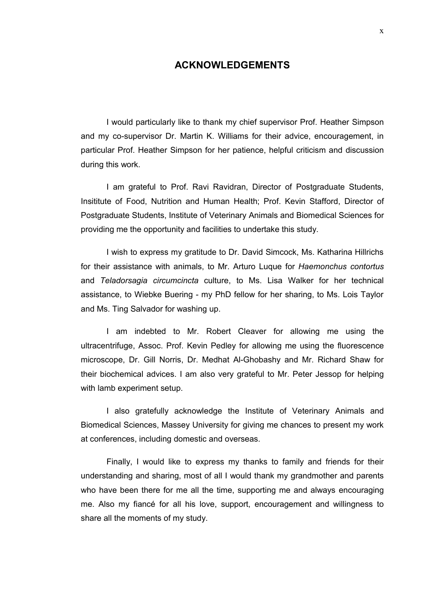#### **ACKNOWLEDGEMENTS**

I would particularly like to thank my chief supervisor Prof. Heather Simpson and my co-supervisor Dr. Martin K. Williams for their advice, encouragement, in particular Prof. Heather Simpson for her patience, helpful criticism and discussion during this work.

I am grateful to Prof. Ravi Ravidran, Director of Postgraduate Students, Insititute of Food, Nutrition and Human Health; Prof. Kevin Stafford, Director of Postgraduate Students, Institute of Veterinary Animals and Biomedical Sciences for providing me the opportunity and facilities to undertake this study.

I wish to express my gratitude to Dr. David Simcock, Ms. Katharina Hillrichs for their assistance with animals, to Mr. Arturo Luque for *Haemonchus contortus* and *Teladorsagia circumcincta* culture, to Ms. Lisa Walker for her technical assistance, to Wiebke Buering - my PhD fellow for her sharing, to Ms. Lois Taylor and Ms. Ting Salvador for washing up.

I am indebted to Mr. Robert Cleaver for allowing me using the ultracentrifuge, Assoc. Prof. Kevin Pedley for allowing me using the fluorescence microscope, Dr. Gill Norris, Dr. Medhat Al-Ghobashy and Mr. Richard Shaw for their biochemical advices. I am also very grateful to Mr. Peter Jessop for helping with lamb experiment setup.

I also gratefully acknowledge the Institute of Veterinary Animals and Biomedical Sciences, Massey University for giving me chances to present my work at conferences, including domestic and overseas.

Finally, I would like to express my thanks to family and friends for their understanding and sharing, most of all I would thank my grandmother and parents who have been there for me all the time, supporting me and always encouraging me. Also my fiancé for all his love, support, encouragement and willingness to share all the moments of my study.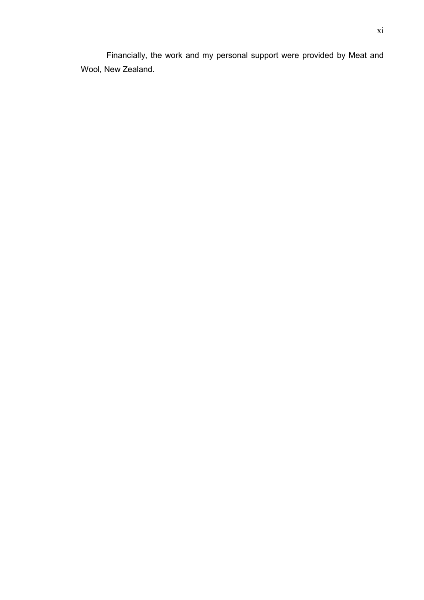Financially, the work and my personal support were provided by Meat and Wool, New Zealand.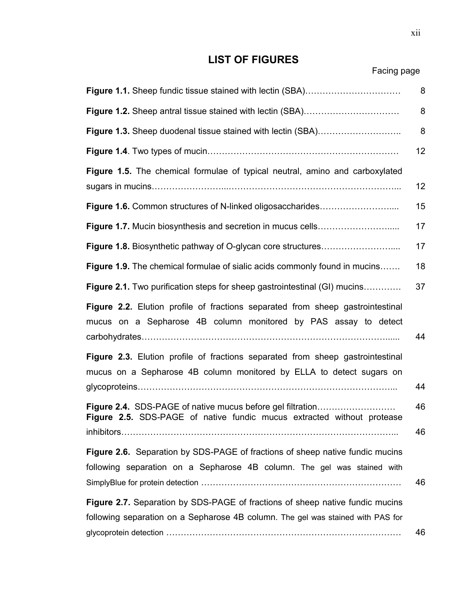## **LIST OF FIGURES**

Facing page

|                                                                                                                                                                  | 8        |
|------------------------------------------------------------------------------------------------------------------------------------------------------------------|----------|
|                                                                                                                                                                  | 8        |
| Figure 1.3. Sheep duodenal tissue stained with lectin (SBA)                                                                                                      | 8        |
|                                                                                                                                                                  | 12       |
| Figure 1.5. The chemical formulae of typical neutral, amino and carboxylated                                                                                     | 12       |
|                                                                                                                                                                  | 15       |
|                                                                                                                                                                  | 17       |
|                                                                                                                                                                  | 17       |
| Figure 1.9. The chemical formulae of sialic acids commonly found in mucins                                                                                       | 18       |
| Figure 2.1. Two purification steps for sheep gastrointestinal (GI) mucins                                                                                        | 37       |
| Figure 2.2. Elution profile of fractions separated from sheep gastrointestinal<br>mucus on a Sepharose 4B column monitored by PAS assay to detect                | 44       |
| Figure 2.3. Elution profile of fractions separated from sheep gastrointestinal<br>mucus on a Sepharose 4B column monitored by ELLA to detect sugars on           | 44       |
| Figure 2.4. SDS-PAGE of native mucus before gel filtration<br><b>Figure 2.5.</b> SDS-PAGE of native fundic mucus extracted without protease                      | 46<br>46 |
| Figure 2.6. Separation by SDS-PAGE of fractions of sheep native fundic mucins<br>following separation on a Sepharose 4B column. The gel was stained with         | 46       |
| Figure 2.7. Separation by SDS-PAGE of fractions of sheep native fundic mucins<br>following separation on a Sepharose 4B column. The gel was stained with PAS for | 46       |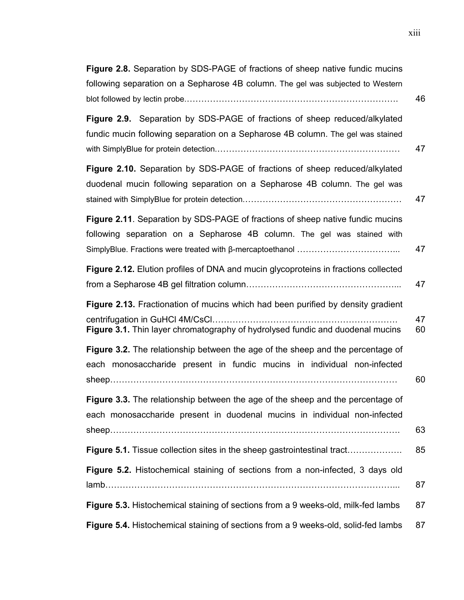| Figure 2.8. Separation by SDS-PAGE of fractions of sheep native fundic mucins<br>following separation on a Sepharose 4B column. The gel was subjected to Western                                      |          |
|-------------------------------------------------------------------------------------------------------------------------------------------------------------------------------------------------------|----------|
|                                                                                                                                                                                                       | 46       |
| Figure 2.9. Separation by SDS-PAGE of fractions of sheep reduced/alkylated<br>fundic mucin following separation on a Sepharose 4B column. The gel was stained                                         | 47       |
| Figure 2.10. Separation by SDS-PAGE of fractions of sheep reduced/alkylated<br>duodenal mucin following separation on a Sepharose 4B column. The gel was                                              | 47       |
| Figure 2.11. Separation by SDS-PAGE of fractions of sheep native fundic mucins<br>following separation on a Sepharose 4B column. The gel was stained with                                             | 47       |
| Figure 2.12. Elution profiles of DNA and mucin glycoproteins in fractions collected                                                                                                                   | 47       |
| Figure 2.13. Fractionation of mucins which had been purified by density gradient<br>centrifugation in GuHCI 4M/CsCl<br>Figure 3.1. Thin layer chromatography of hydrolysed fundic and duodenal mucins | 47<br>60 |
| Figure 3.2. The relationship between the age of the sheep and the percentage of<br>each monosaccharide present in fundic mucins in individual non-infected                                            | 60       |
| Figure 3.3. The relationship between the age of the sheep and the percentage of<br>each monosaccharide present in duodenal mucins in individual non-infected                                          | 63       |
| <b>Figure 5.1.</b> Tissue collection sites in the sheep gastrointestinal tract                                                                                                                        | 85       |
| Figure 5.2. Histochemical staining of sections from a non-infected, 3 days old                                                                                                                        | 87       |
| Figure 5.3. Histochemical staining of sections from a 9 weeks-old, milk-fed lambs                                                                                                                     | 87       |
| Figure 5.4. Histochemical staining of sections from a 9 weeks-old, solid-fed lambs                                                                                                                    | 87       |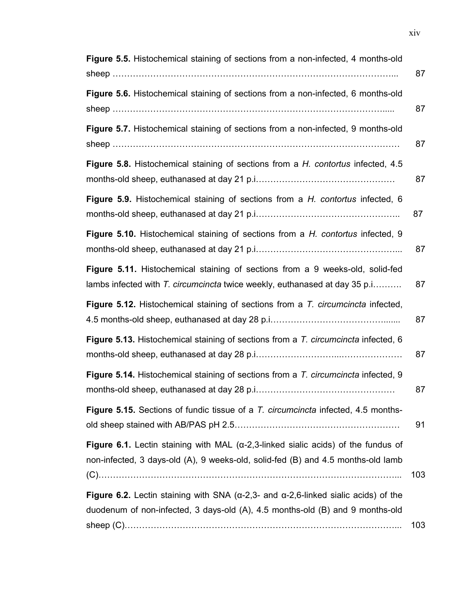| Figure 5.5. Histochemical staining of sections from a non-infected, 4 months-old                                                                                                     | 87  |
|--------------------------------------------------------------------------------------------------------------------------------------------------------------------------------------|-----|
| Figure 5.6. Histochemical staining of sections from a non-infected, 6 months-old                                                                                                     | 87  |
| Figure 5.7. Histochemical staining of sections from a non-infected, 9 months-old                                                                                                     | 87  |
| Figure 5.8. Histochemical staining of sections from a H. contortus infected, 4.5                                                                                                     | 87  |
| Figure 5.9. Histochemical staining of sections from a H. contortus infected, 6                                                                                                       | 87  |
| Figure 5.10. Histochemical staining of sections from a H. contortus infected, 9                                                                                                      | 87  |
| Figure 5.11. Histochemical staining of sections from a 9 weeks-old, solid-fed<br>lambs infected with T. circumcincta twice weekly, euthanased at day 35 p.i                          | 87  |
| Figure 5.12. Histochemical staining of sections from a T. circumcincta infected,                                                                                                     | 87  |
| Figure 5.13. Histochemical staining of sections from a T. circumcincta infected, 6                                                                                                   | 87  |
| Figure 5.14. Histochemical staining of sections from a T. circumcincta infected, 9                                                                                                   | 87  |
| Figure 5.15. Sections of fundic tissue of a T. circumcincta infected, 4.5 months-                                                                                                    | 91  |
| Figure 6.1. Lectin staining with MAL ( $\alpha$ -2,3-linked sialic acids) of the fundus of<br>non-infected, 3 days-old (A), 9 weeks-old, solid-fed (B) and 4.5 months-old lamb       | 103 |
| Figure 6.2. Lectin staining with SNA ( $\alpha$ -2,3- and $\alpha$ -2,6-linked sialic acids) of the<br>duodenum of non-infected, 3 days-old (A), 4.5 months-old (B) and 9 months-old | 103 |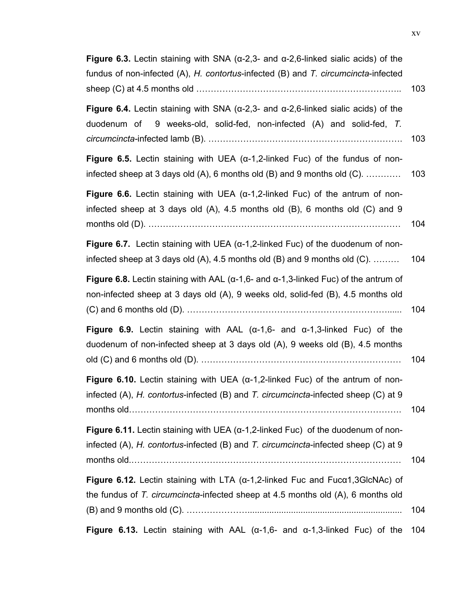| Figure 6.3. Lectin staining with SNA ( $\alpha$ -2,3- and $\alpha$ -2,6-linked sialic acids) of the<br>fundus of non-infected (A), H. contortus-infected (B) and T. circumcincta-infected | 103 |
|-------------------------------------------------------------------------------------------------------------------------------------------------------------------------------------------|-----|
| Figure 6.4. Lectin staining with SNA ( $\alpha$ -2,3- and $\alpha$ -2,6-linked sialic acids) of the<br>duodenum of<br>9 weeks-old, solid-fed, non-infected (A) and solid-fed, T.          | 103 |
| Figure 6.5. Lectin staining with UEA ( $\alpha$ -1,2-linked Fuc) of the fundus of non-<br>infected sheep at 3 days old $(A)$ , 6 months old $(B)$ and 9 months old $(C)$ .                | 103 |
| Figure 6.6. Lectin staining with UEA ( $\alpha$ -1,2-linked Fuc) of the antrum of non-<br>infected sheep at 3 days old (A), 4.5 months old (B), 6 months old (C) and 9                    | 104 |
| <b>Figure 6.7.</b> Lectin staining with UEA $(\alpha-1, 2$ -linked Fuc) of the duodenum of non-<br>infected sheep at 3 days old $(A)$ , 4.5 months old $(B)$ and 9 months old $(C)$ .     | 104 |
| Figure 6.8. Lectin staining with AAL ( $\alpha$ -1,6- and $\alpha$ -1,3-linked Fuc) of the antrum of<br>non-infected sheep at 3 days old (A), 9 weeks old, solid-fed (B), 4.5 months old  | 104 |
| Figure 6.9. Lectin staining with AAL ( $\alpha$ -1,6- and $\alpha$ -1,3-linked Fuc) of the<br>duodenum of non-infected sheep at 3 days old (A), 9 weeks old (B), 4.5 months               | 104 |
| <b>Figure 6.10.</b> Lectin staining with UEA ( $\alpha$ -1,2-linked Fuc) of the antrum of non-<br>infected (A), H. contortus-infected (B) and T. circumcincta-infected sheep (C) at 9     | 104 |
| Figure 6.11. Lectin staining with UEA ( $\alpha$ -1,2-linked Fuc) of the duodenum of non-<br>infected (A), H. contortus-infected (B) and T. circumcincta-infected sheep (C) at 9          | 104 |
| Figure 6.12. Lectin staining with LTA ( $\alpha$ -1,2-linked Fuc and Fuc $\alpha$ 1,3GlcNAc) of<br>the fundus of T. circumcincta-infected sheep at 4.5 months old (A), 6 months old       | 104 |
| Figure 6.13. Lectin staining with AAL ( $\alpha$ -1,6- and $\alpha$ -1,3-linked Fuc) of the                                                                                               | 104 |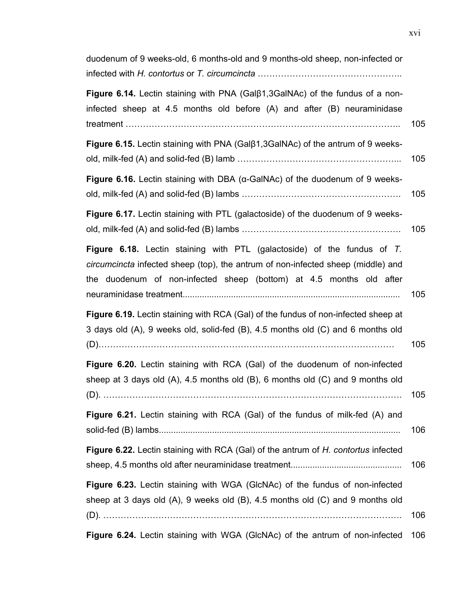duodenum of 9 weeks-old, 6 months-old and 9 months-old sheep, non-infected or infected with *H. contortus* or *T. circumcincta* …………………………………………..

**Figure 6.14.** Lectin staining with PNA (Galβ1,3GalNAc) of the fundus of a noninfected sheep at 4.5 months old before (A) and after (B) neuraminidase treatment ………………………………………………………………………………….. 105

| <b>Figure 6.15.</b> Lectin staining with PNA (Gal <sup>[31</sup> , 3GalNAc) of the antrum of 9 weeks- |     |
|-------------------------------------------------------------------------------------------------------|-----|
|                                                                                                       | 105 |

**Figure 6.16.** Lectin staining with DBA (α-GalNAc) of the duodenum of 9 weeksold, milk-fed (A) and solid-fed (B) lambs ………………………………………………. 105

**Figure 6.17.** Lectin staining with PTL (galactoside) of the duodenum of 9 weeksold, milk-fed (A) and solid-fed (B) lambs ………………………………………………. 105

|  | <b>Figure 6.18.</b> Lectin staining with PTL (galactoside) of the fundus of T.          |  |  |  |  |  |     |
|--|-----------------------------------------------------------------------------------------|--|--|--|--|--|-----|
|  | <i>circumcincta</i> infected sheep (top), the antrum of non-infected sheep (middle) and |  |  |  |  |  |     |
|  | the duodenum of non-infected sheep (bottom) at 4.5 months old after                     |  |  |  |  |  |     |
|  |                                                                                         |  |  |  |  |  | 105 |

**Figure 6.19.** Lectin staining with RCA (Gal) of the fundus of non-infected sheep at 3 days old (A), 9 weeks old, solid-fed (B), 4.5 months old (C) and 6 months old

| $\overline{\phantom{a}}$ |
|--------------------------|
|--------------------------|

| Figure 6.20. Lectin staining with RCA (Gal) of the duodenum of non-infected            |     |
|----------------------------------------------------------------------------------------|-----|
| sheep at 3 days old $(A)$ , 4.5 months old $(B)$ , 6 months old $(C)$ and 9 months old |     |
|                                                                                        | 105 |

**Figure 6.21.** Lectin staining with RCA (Gal) of the fundus of milk-fed (A) and solid-fed (B) lambs.................................................................................................... 106

| <b>Figure 6.22.</b> Lectin staining with RCA (Gal) of the antrum of H. contortus infected |     |  |
|-------------------------------------------------------------------------------------------|-----|--|
|                                                                                           | 106 |  |

**Figure 6.23.** Lectin staining with WGA (GlcNAc) of the fundus of non-infected sheep at 3 days old (A), 9 weeks old (B), 4.5 months old (C) and 9 months old (D). …………………………………………………………………………………………. 106

**Figure 6.24.** Lectin staining with WGA (GlcNAc) of the antrum of non-infected 106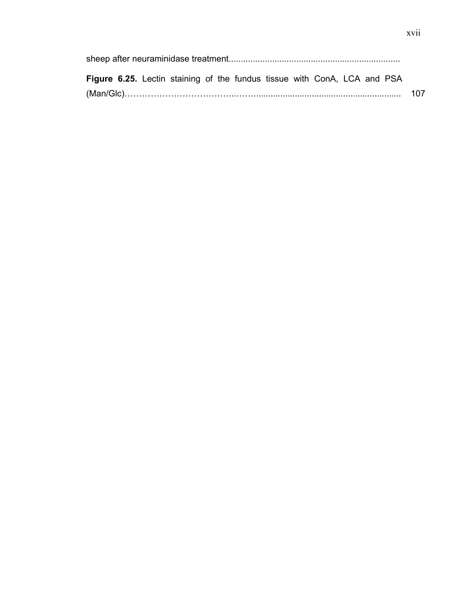sheep after neuraminidase treatment....................................................................... **Figure 6.25.** Lectin staining of the fundus tissue with ConA, LCA and PSA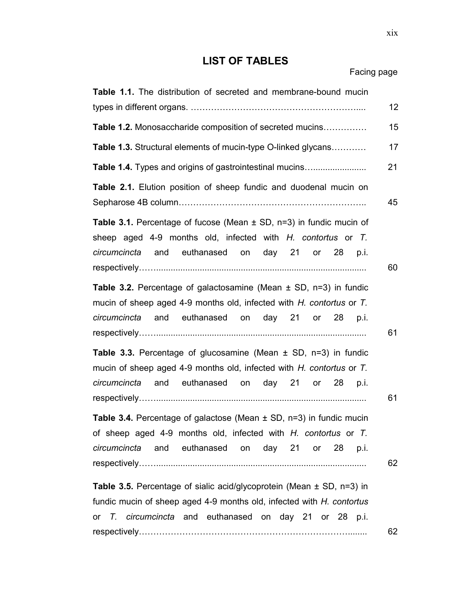# **LIST OF TABLES**

| Facing page |  |
|-------------|--|
|-------------|--|

| Table 1.1. The distribution of secreted and membrane-bound mucin                                                                                                                                          |
|-----------------------------------------------------------------------------------------------------------------------------------------------------------------------------------------------------------|
| 12                                                                                                                                                                                                        |
| 15<br><b>Table 1.2.</b> Monosaccharide composition of secreted mucins                                                                                                                                     |
| Table 1.3. Structural elements of mucin-type O-linked glycans<br>17                                                                                                                                       |
| Table 1.4. Types and origins of gastrointestinal mucins<br>21                                                                                                                                             |
| Table 2.1. Elution position of sheep fundic and duodenal mucin on<br>45                                                                                                                                   |
| <b>Table 3.1.</b> Percentage of fucose (Mean $\pm$ SD, n=3) in fundic mucin of<br>sheep aged 4-9 months old, infected with H. contortus or T.<br>circumcincta and euthanased on day 21 or 28 p.i.<br>60   |
| Table 3.2. Percentage of galactosamine (Mean $\pm$ SD, n=3) in fundic<br>mucin of sheep aged 4-9 months old, infected with H. contortus or T.<br>circumcincta and euthanased on day 21 or 28 p.i.<br>61   |
| <b>Table 3.3.</b> Percentage of glucosamine (Mean $\pm$ SD, n=3) in fundic<br>mucin of sheep aged 4-9 months old, infected with H. contortus or T.<br>circumcincta and euthanased on day 21 or 28<br>p.i. |
| 61<br>Table 3.4. Percentage of galactose (Mean $\pm$ SD, n=3) in fundic mucin<br>of sheep aged 4-9 months old, infected with H. contortus or T.<br>circumcincta and euthanased on day 21 or 28 p.i.<br>62 |
| <b>Table 3.5.</b> Percentage of sialic acid/glycoprotein (Mean $\pm$ SD, n=3) in<br>fundic mucin of sheep aged 4-9 months old, infected with H. contortus                                                 |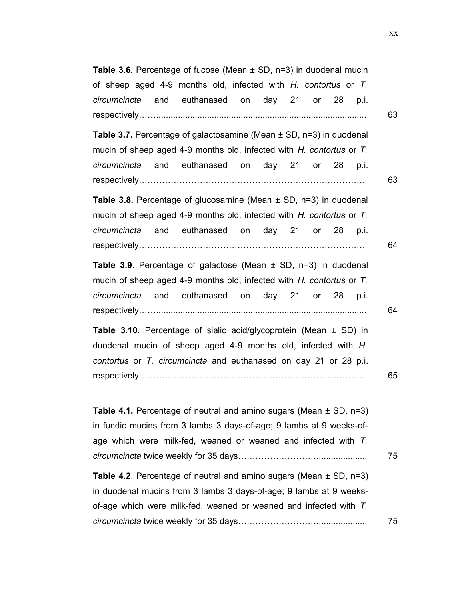| <b>Table 3.6.</b> Percentage of fucose (Mean $\pm$ SD, n=3) in duodenal mucin                                                                                                                                                  |
|--------------------------------------------------------------------------------------------------------------------------------------------------------------------------------------------------------------------------------|
| of sheep aged 4-9 months old, infected with H. contortus or T.                                                                                                                                                                 |
| circumcincta and euthanased on day 21 or 28<br>p.i.                                                                                                                                                                            |
| 63                                                                                                                                                                                                                             |
| <b>Table 3.7.</b> Percentage of galactosamine (Mean $\pm$ SD, n=3) in duodenal<br>mucin of sheep aged 4-9 months old, infected with H. contortus or T.<br>and euthanased on day 21 or 28<br>circumcincta<br>p.i.<br>63         |
| <b>Table 3.8.</b> Percentage of glucosamine (Mean $\pm$ SD, n=3) in duodenal<br>mucin of sheep aged 4-9 months old, infected with H. contortus or T.<br>and euthanased on day 21 or 28 p.i.<br>circumcincta<br>64              |
| Table 3.9. Percentage of galactose (Mean $\pm$ SD, n=3) in duodenal<br>mucin of sheep aged 4-9 months old, infected with H. contortus or T.<br>and euthanased on day 21 or 28 p.i.<br>circumcincta<br>64                       |
| <b>Table 3.10.</b> Percentage of sialic acid/glycoprotein (Mean $\pm$ SD) in<br>duodenal mucin of sheep aged 4-9 months old, infected with H.<br>contortus or T. circumcincta and euthanased on day 21 or 28 p.i.<br>65        |
| <b>Table 4.1.</b> Percentage of neutral and amino sugars (Mean $\pm$ SD, n=3)<br>in fundic mucins from 3 lambs 3 days-of-age; 9 lambs at 9 weeks-of-<br>age which were milk-fed, weaned or weaned and infected with T.<br>75   |
| <b>Table 4.2.</b> Percentage of neutral and amino sugars (Mean $\pm$ SD, n=3)<br>in duodenal mucins from 3 lambs 3 days-of-age; 9 lambs at 9 weeks-<br>of-age which were milk-fed, weaned or weaned and infected with T.<br>75 |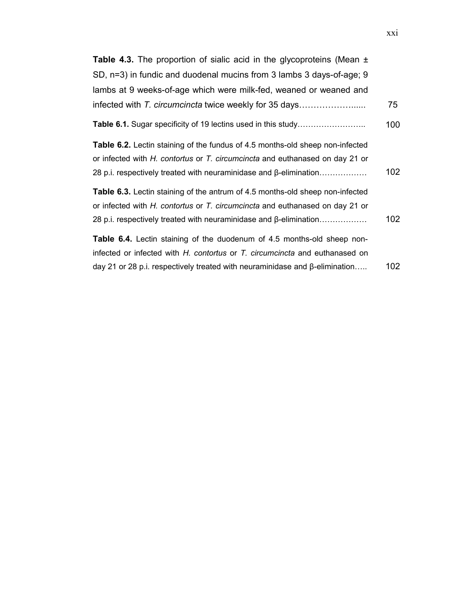| <b>Table 4.3.</b> The proportion of sialic acid in the glycoproteins (Mean $\pm$                                                                                     |     |
|----------------------------------------------------------------------------------------------------------------------------------------------------------------------|-----|
| SD, n=3) in fundic and duodenal mucins from 3 lambs 3 days-of-age; 9                                                                                                 |     |
| lambs at 9 weeks-of-age which were milk-fed, weaned or weaned and                                                                                                    |     |
| infected with T. circumcincta twice weekly for 35 days                                                                                                               | 75  |
| <b>Table 6.1.</b> Sugar specificity of 19 lectins used in this study                                                                                                 | 100 |
| <b>Table 6.2.</b> Lectin staining of the fundus of 4.5 months-old sheep non-infected<br>or infected with H. contortus or T. circumcincta and euthanased on day 21 or |     |
| 28 p.i. respectively treated with neuraminidase and $\beta$ -elimination                                                                                             | 102 |
| <b>Table 6.3.</b> Lectin staining of the antrum of 4.5 months-old sheep non-infected<br>or infected with H. contortus or T. circumcincta and euthanased on day 21 or |     |
| 28 p.i. respectively treated with neuraminidase and $\beta$ -elimination                                                                                             | 102 |
| <b>Table 6.4.</b> Lectin staining of the duodenum of 4.5 months-old sheep non-                                                                                       |     |
| infected or infected with H. contortus or T. circumcincta and euthanased on                                                                                          |     |
| day 21 or 28 p.i. respectively treated with neuraminidase and $\beta$ -elimination                                                                                   | 102 |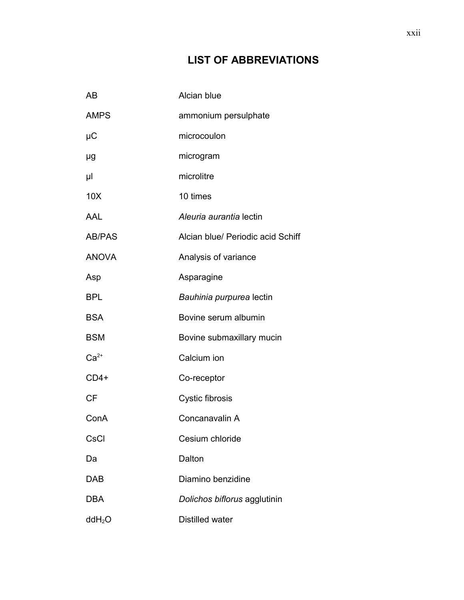# **LIST OF ABBREVIATIONS**

| AB                 | Alcian blue                       |
|--------------------|-----------------------------------|
| <b>AMPS</b>        | ammonium persulphate              |
| μC                 | microcoulon                       |
| μg                 | microgram                         |
| μl                 | microlitre                        |
| 10X                | 10 times                          |
| AAL                | Aleuria aurantia lectin           |
| <b>AB/PAS</b>      | Alcian blue/ Periodic acid Schiff |
| <b>ANOVA</b>       | Analysis of variance              |
| Asp                | Asparagine                        |
| <b>BPL</b>         | Bauhinia purpurea lectin          |
| <b>BSA</b>         | Bovine serum albumin              |
| <b>BSM</b>         | Bovine submaxillary mucin         |
| $Ca2+$             | Calcium ion                       |
| $CD4+$             | Co-receptor                       |
| <b>CF</b>          | Cystic fibrosis                   |
| ConA               | Concanavalin A                    |
| CsCl               | Cesium chloride                   |
| Da                 | Dalton                            |
| <b>DAB</b>         | Diamino benzidine                 |
| <b>DBA</b>         | Dolichos biflorus agglutinin      |
| ddH <sub>2</sub> O | <b>Distilled water</b>            |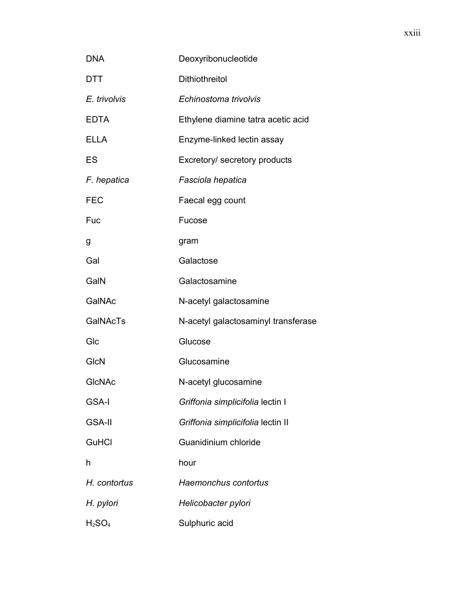| <b>DNA</b>                     | Deoxyribonucleotide                 |
|--------------------------------|-------------------------------------|
| DTT                            | <b>Dithiothreitol</b>               |
| E. trivolvis                   | Echinostoma trivolvis               |
| <b>EDTA</b>                    | Ethylene diamine tatra acetic acid  |
| <b>ELLA</b>                    | Enzyme-linked lectin assay          |
| ES                             | Excretory/ secretory products       |
| F. hepatica                    | Fasciola hepatica                   |
| <b>FEC</b>                     | Faecal egg count                    |
| Fuc                            | Fucose                              |
| g                              | gram                                |
| Gal                            | Galactose                           |
| GalN                           | Galactosamine                       |
| GalNAc                         | N-acetyl galactosamine              |
| <b>GalNAcTs</b>                | N-acetyl galactosaminyl transferase |
| Glc                            | Glucose                             |
| GlcN                           | Glucosamine                         |
| <b>GICNAC</b>                  | N-acetyl glucosamine                |
| <b>GSA-I</b>                   | Griffonia simplicifolia lectin I    |
| <b>GSA-II</b>                  | Griffonia simplicifolia lectin II   |
| GuHCl                          | Guanidinium chloride                |
| h                              | hour                                |
| H. contortus                   | Haemonchus contortus                |
| H. pylori                      | Helicobacter pylori                 |
| H <sub>2</sub> SO <sub>4</sub> | Sulphuric acid                      |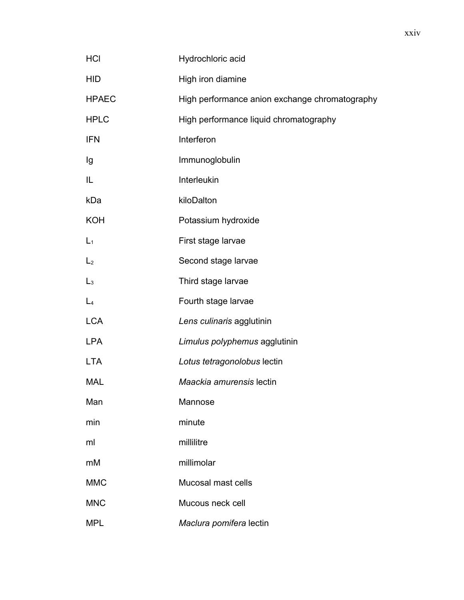| <b>HCI</b>     | Hydrochloric acid                              |
|----------------|------------------------------------------------|
| <b>HID</b>     | High iron diamine                              |
| <b>HPAEC</b>   | High performance anion exchange chromatography |
| <b>HPLC</b>    | High performance liquid chromatography         |
| <b>IFN</b>     | Interferon                                     |
| Ig             | Immunoglobulin                                 |
| IL             | Interleukin                                    |
| kDa            | kiloDalton                                     |
| <b>KOH</b>     | Potassium hydroxide                            |
| $L_1$          | First stage larvae                             |
| L <sub>2</sub> | Second stage larvae                            |
| L <sub>3</sub> | Third stage larvae                             |
| $L_4$          | Fourth stage larvae                            |
| <b>LCA</b>     | Lens culinaris agglutinin                      |
| <b>LPA</b>     | Limulus polyphemus agglutinin                  |
| <b>LTA</b>     | Lotus tetragonolobus lectin                    |
| <b>MAL</b>     | Maackia amurensis lectin                       |
| Man            | Mannose                                        |
| min            | minute                                         |
| ml             | millilitre                                     |
| mM             | millimolar                                     |
| <b>MMC</b>     | Mucosal mast cells                             |
| <b>MNC</b>     | Mucous neck cell                               |
| <b>MPL</b>     | Maclura pomifera lectin                        |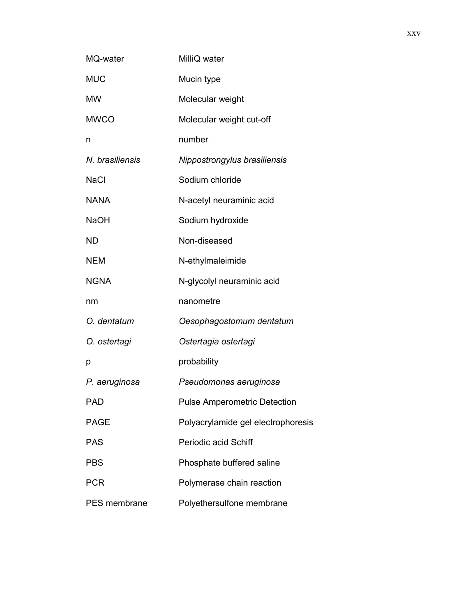| MQ-water        | MilliQ water                        |
|-----------------|-------------------------------------|
| <b>MUC</b>      | Mucin type                          |
| <b>MW</b>       | Molecular weight                    |
| <b>MWCO</b>     | Molecular weight cut-off            |
| n               | number                              |
| N. brasiliensis | Nippostrongylus brasiliensis        |
| <b>NaCl</b>     | Sodium chloride                     |
| <b>NANA</b>     | N-acetyl neuraminic acid            |
| <b>NaOH</b>     | Sodium hydroxide                    |
| <b>ND</b>       | Non-diseased                        |
| <b>NEM</b>      | N-ethylmaleimide                    |
| <b>NGNA</b>     | N-glycolyl neuraminic acid          |
| nm              | nanometre                           |
| O. dentatum     | Oesophagostomum dentatum            |
| O. ostertagi    | Ostertagia ostertagi                |
| р               | probability                         |
| P. aeruginosa   | Pseudomonas aeruginosa              |
| PAD             | <b>Pulse Amperometric Detection</b> |
| <b>PAGE</b>     | Polyacrylamide gel electrophoresis  |
| <b>PAS</b>      | <b>Periodic acid Schiff</b>         |
| <b>PBS</b>      | Phosphate buffered saline           |
| <b>PCR</b>      | Polymerase chain reaction           |
| PES membrane    | Polyethersulfone membrane           |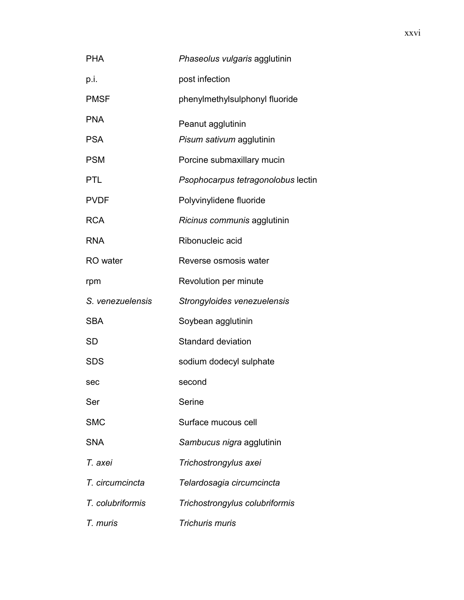| <b>PHA</b>       | Phaseolus vulgaris agglutinin      |
|------------------|------------------------------------|
| p.i.             | post infection                     |
| <b>PMSF</b>      | phenylmethylsulphonyl fluoride     |
| <b>PNA</b>       | Peanut agglutinin                  |
| <b>PSA</b>       | Pisum sativum agglutinin           |
| <b>PSM</b>       | Porcine submaxillary mucin         |
| <b>PTL</b>       | Psophocarpus tetragonolobus lectin |
| <b>PVDF</b>      | Polyvinylidene fluoride            |
| <b>RCA</b>       | Ricinus communis agglutinin        |
| <b>RNA</b>       | Ribonucleic acid                   |
| RO water         | Reverse osmosis water              |
| rpm              | Revolution per minute              |
| S. venezuelensis | Strongyloides venezuelensis        |
| <b>SBA</b>       | Soybean agglutinin                 |
| <b>SD</b>        | <b>Standard deviation</b>          |
| <b>SDS</b>       | sodium dodecyl sulphate            |
| sec              | second                             |
| Ser              | Serine                             |
| <b>SMC</b>       | Surface mucous cell                |
| <b>SNA</b>       | Sambucus nigra agglutinin          |
| T. axei          | Trichostrongylus axei              |
| T. circumcincta  | Telardosagia circumcincta          |
| T. colubriformis | Trichostrongylus colubriformis     |
| T. muris         | Trichuris muris                    |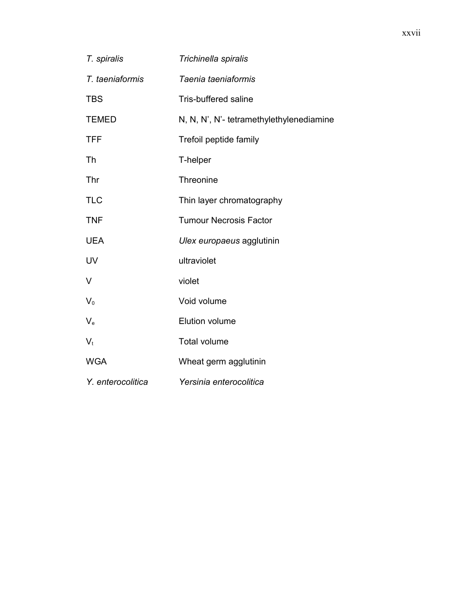| T. spiralis       | Trichinella spiralis                     |
|-------------------|------------------------------------------|
| T. taeniaformis   | Taenia taeniaformis                      |
| <b>TBS</b>        | <b>Tris-buffered saline</b>              |
| <b>TEMED</b>      | N, N, N', N'- tetramethylethylenediamine |
| <b>TFF</b>        | Trefoil peptide family                   |
| Th                | T-helper                                 |
| Thr               | Threonine                                |
| <b>TLC</b>        | Thin layer chromatography                |
| <b>TNF</b>        | <b>Tumour Necrosis Factor</b>            |
| <b>UEA</b>        | Ulex europaeus agglutinin                |
| UV                | ultraviolet                              |
| V                 | violet                                   |
| $V_0$             | Void volume                              |
| $V_{\rm e}$       | Elution volume                           |
| $V_t$             | <b>Total volume</b>                      |
| <b>WGA</b>        | Wheat germ agglutinin                    |
| Y. enterocolitica | Yersinia enterocolitica                  |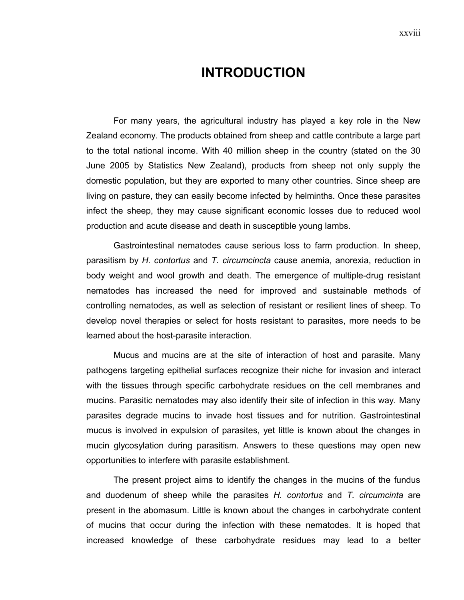# **INTRODUCTION**

For many years, the agricultural industry has played a key role in the New Zealand economy. The products obtained from sheep and cattle contribute a large part to the total national income. With 40 million sheep in the country (stated on the 30 June 2005 by Statistics New Zealand), products from sheep not only supply the domestic population, but they are exported to many other countries. Since sheep are living on pasture, they can easily become infected by helminths. Once these parasites infect the sheep, they may cause significant economic losses due to reduced wool production and acute disease and death in susceptible young lambs.

Gastrointestinal nematodes cause serious loss to farm production. In sheep, parasitism by *H. contortus* and *T. circumcincta* cause anemia, anorexia, reduction in body weight and wool growth and death. The emergence of multiple-drug resistant nematodes has increased the need for improved and sustainable methods of controlling nematodes, as well as selection of resistant or resilient lines of sheep. To develop novel therapies or select for hosts resistant to parasites, more needs to be learned about the host-parasite interaction.

Mucus and mucins are at the site of interaction of host and parasite. Many pathogens targeting epithelial surfaces recognize their niche for invasion and interact with the tissues through specific carbohydrate residues on the cell membranes and mucins. Parasitic nematodes may also identify their site of infection in this way. Many parasites degrade mucins to invade host tissues and for nutrition. Gastrointestinal mucus is involved in expulsion of parasites, yet little is known about the changes in mucin glycosylation during parasitism. Answers to these questions may open new opportunities to interfere with parasite establishment.

The present project aims to identify the changes in the mucins of the fundus and duodenum of sheep while the parasites *H. contortus* and *T. circumcinta* are present in the abomasum. Little is known about the changes in carbohydrate content of mucins that occur during the infection with these nematodes. It is hoped that increased knowledge of these carbohydrate residues may lead to a better